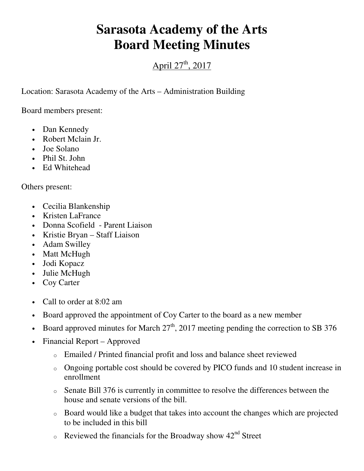## **Sarasota Academy of the Arts Board Meeting Minutes**

## April  $27^{th}$ , 2017

Location: Sarasota Academy of the Arts – Administration Building

Board members present:

- Dan Kennedy
- Robert Mclain Jr.
- Joe Solano
- Phil St. John
- Ed Whitehead

Others present:

- Cecilia Blankenship
- Kristen LaFrance
- Donna Scofield Parent Liaison
- Kristie Bryan Staff Liaison
- Adam Swilley
- Matt McHugh
- Jodi Kopacz
- Julie McHugh
- Coy Carter
- Call to order at 8:02 am
- Board approved the appointment of Coy Carter to the board as a new member
- Board approved minutes for March  $27<sup>th</sup>$ , 2017 meeting pending the correction to SB 376
- Financial Report Approved
	- o Emailed / Printed financial profit and loss and balance sheet reviewed
	- o Ongoing portable cost should be covered by PICO funds and 10 student increase in enrollment
	- o Senate Bill 376 is currently in committee to resolve the differences between the house and senate versions of the bill.
	- o Board would like a budget that takes into account the changes which are projected to be included in this bill
	- $\circ$  Reviewed the financials for the Broadway show  $42<sup>nd</sup>$  Street